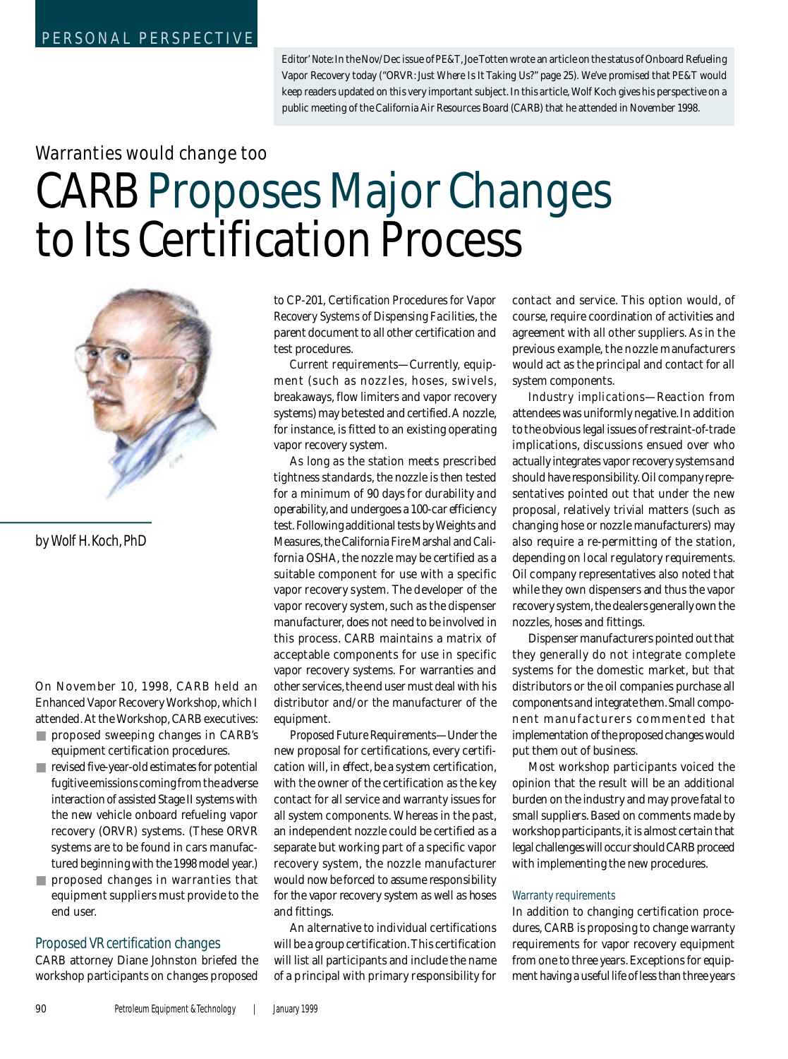*Editor' Note:* In the Nov/Dec issue of *PE&T*, Joe Totten wrote an article on the status of Onboard Refueling Vapor Recovery today ("ORVR: Just *Where Is It Taking Us?" page 25)*. We've promised that *PE&T* would keep readers updated on this very important subject. In this article, Wolf Koch gives his perspective on a public meeting of the California Air Resources Board (CARB) that he attended in November 1998.

# Warranties would change too

# **CARB Proposes Major Changes** to Its Certification Process



by Wolf H. Koch, PhD

On November 10, 1998, CARB held an Enhanced Vapor Recovery Workshop, which I attended. At the Workshop, CARB executives :

- proposed sweeping changes in CARB's equipment certification procedures.
- $\blacksquare$  revised five-year-old estimates for potential fugitive emissions coming from the adverse i nteraction of assisted Stage II systems with the new vehicle onboard refueling vapor recovery (ORVR) systems. (These ORVR systems are to be found in cars manufactured beginning with the 1998 model year.)
- proposed changes in warranties that equipment suppliers must provide to the end user.

#### Proposed VR certification changes

CARB attorney Diane Johnston briefed the workshop participants on changes proposed

to CP-201, *Certification Procedures for Vapor Recovery Systems of Dispensing Facilities*, the parent document to all other certification and test procedures.

*Current requirements*— Currently, equipment (such as nozzles, hoses, swivels, breakaways, flow limiters and vapor recovery systems) may be tested and certified. A nozzle , for instance, is fitted to an existing operating vapor recovery system.

As long as the station meets prescribed tightness standards, the nozzle is then tested for a minimum of 90 days for durability and operability, and undergoes a 100-car efficiency test. Following additional tests by Weights and Measures, the California Fire Marshal and California OSHA, the nozzle may be certified as a suitable component for use with a specific vapor recovery system. The developer of the vapor recovery system, such as the dispenser manufacturer, does not need to be involved in this process. CARB maintains a matrix of acceptable components for use in specific vapor recovery systems. For warranties and other services, the end user must deal with his distributor and/or the manufacturer of the equipment.

*P roposed Future Requirements*— Under the new proposal for certifications, every certification will, in effect, be a system certification, with the owner of the certification as the key contact for all service and warranty issues for all system components. Whereas in the past, an independent nozzle could be certified as a separate but working part of a specific vapor recovery system, the nozzle manufacturer would now be forced to assume responsibility for the vapor recovery system as well as hoses and fittings.

An alternative to individual certifications will be a group certification. This certification will list all participants and include the name of a principal with primary responsibility for

contact and service. This option would, of course, require coordination of activities and agreement with all other suppliers. As in the previous example, the nozzle manufacturers would act as the principal and contact for all system components.

*Industry implications*— Reaction from attendees was uniformly negative. In addition to the obvious legal issues of restraint-of-trade implications, discussions ensued over who actually integrates vapor recovery systems and should have responsibility. Oil company representatives pointed out that under the new proposal, relatively trivial matters (such as changing hose or nozzle manufacturers) may also require a re-permitting of the station, depending on local regulatory requirements. Oil company representatives also noted that while they own dispensers and thus the vapor recovery system, the dealers generally own the nozzles, hoses and fittings.

Dispenser manufacturers pointed out that they generally do not integrate complete systems for the domestic market, but that distributors or the oil companies purchase all components and integrate them. Small component manufacturers commented that implementation of the proposed changes would put them out of business.

Most workshop participants voiced the opinion that the result will be an additional burden on the industry and may prove fatal to small suppliers. Based on comments made by workshop participants, it is almost certain that legal challenges will occur should CARB proceed with implementing the new procedures.

#### Warranty requirements

In addition to changing certification procedures, CARB is proposing to change warranty requirements for vapor recovery equipment from one to three years. Exceptions for equipment having a useful life of less than three years